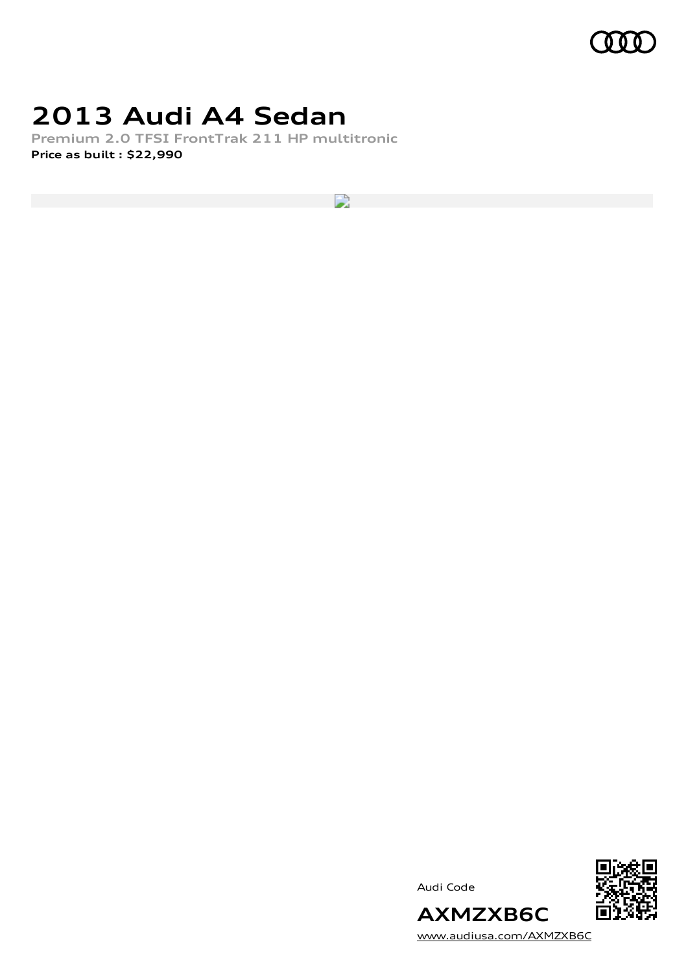

### **2013 Audi A4 Sedan**

**Premium 2.0 TFSI FrontTrak 211 HP multitronic Price as built [:](#page-9-0) \$22,990**

 $\mathbf{L}$ 





[www.audiusa.com/AXMZXB6C](https://www.audiusa.com/AXMZXB6C)

**AXMZXB6C**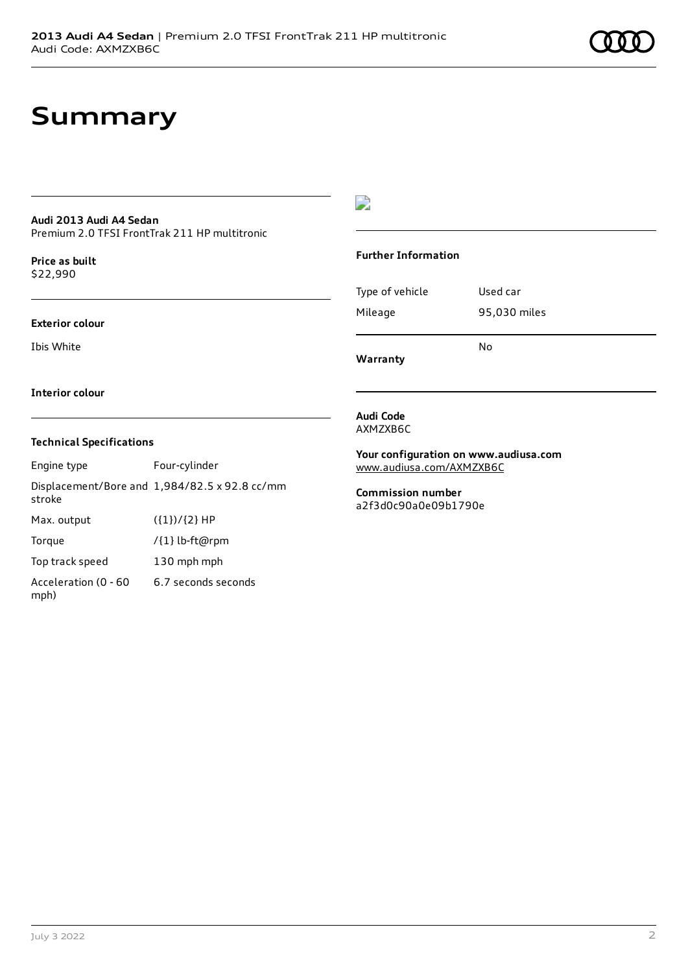## **Summary**

#### **Audi 2013 Audi A4 Sedan** Premium 2.0 TFSI FrontTrak 211 HP multitronic

**Price as buil[t](#page-9-0)** \$22,990

#### **Exterior colour**

Ibis White

 $\overline{\phantom{a}}$ 

#### **Further Information**

Type of vehicle Used car Mileage 95,030 miles No

**Warranty**

#### **Interior colour**

#### **Technical Specifications**

| Engine type                  | Four-cylinder                                 |
|------------------------------|-----------------------------------------------|
| stroke                       | Displacement/Bore and 1,984/82.5 x 92.8 cc/mm |
| Max. output                  | $({1})/{2}$ HP                                |
| Torque                       | /{1} lb-ft@rpm                                |
| Top track speed              | 130 mph mph                                   |
| Acceleration (0 - 60<br>mph) | 6.7 seconds seconds                           |

#### **Audi Code** AXMZXB6C

**Your configuration on www.audiusa.com**

[www.audiusa.com/AXMZXB6C](https://www.audiusa.com/AXMZXB6C)

**Commission number** a2f3d0c90a0e09b1790e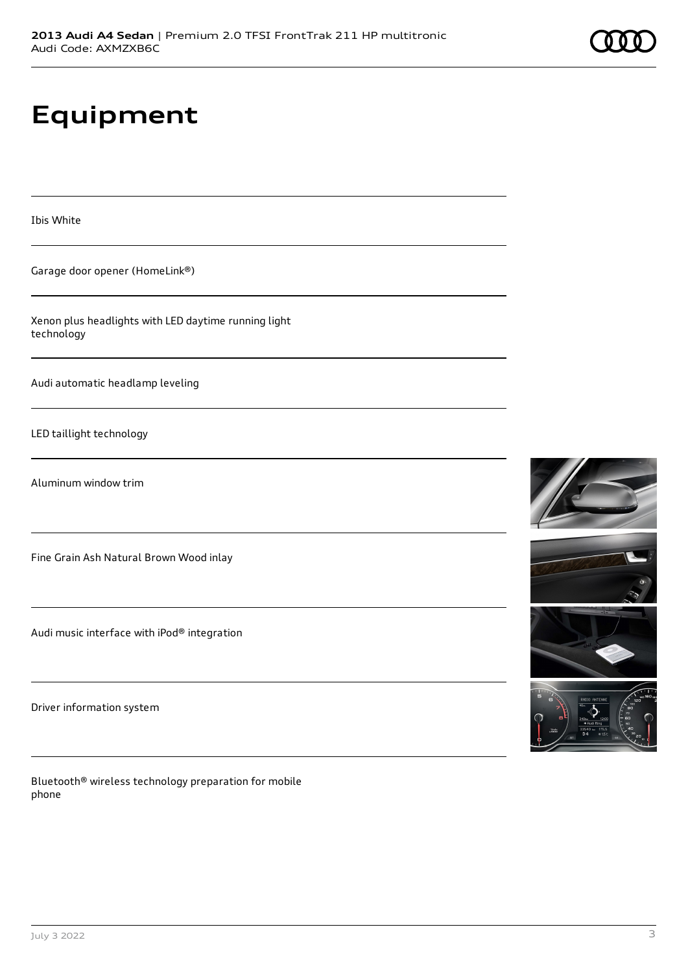# **Equipment**

Ibis White

Garage door opener (HomeLink®)

Xenon plus headlights with LED daytime running light technology

Audi automatic headlamp leveling

LED taillight technology

Aluminum window trim

Fine Grain Ash Natural Brown Wood inlay

Audi music interface with iPod® integration

Driver information system

Bluetooth® wireless technology preparation for mobile phone







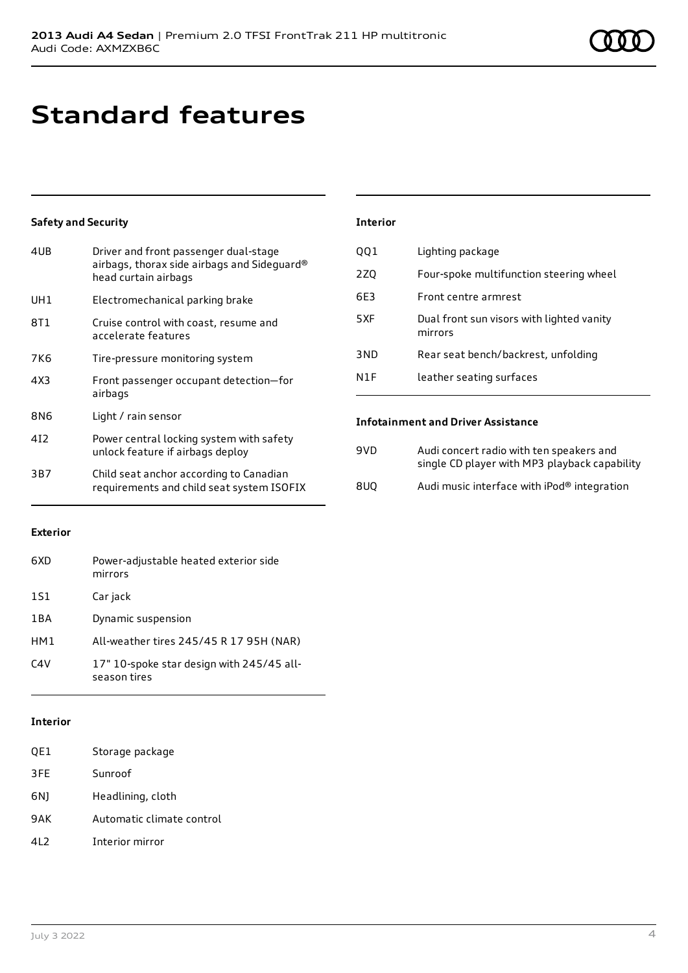# **Standard features**

#### **Safety and Security**

| 4UB             | Driver and front passenger dual-stage<br>airbags, thorax side airbags and Sideguard®<br>head curtain airbags |
|-----------------|--------------------------------------------------------------------------------------------------------------|
| UH1             | Electromechanical parking brake                                                                              |
| 8T1             | Cruise control with coast, resume and<br>accelerate features                                                 |
| 7K6             | Tire-pressure monitoring system                                                                              |
| 4X3             | Front passenger occupant detection-for<br>airbags                                                            |
| 8N6             | Light / rain sensor                                                                                          |
| 41 <sub>2</sub> | Power central locking system with safety<br>unlock feature if airbags deploy                                 |
| 3B7             | Child seat anchor according to Canadian<br>requirements and child seat system ISOFIX                         |

#### **Interior**

| QQ1 | Lighting package                                     |
|-----|------------------------------------------------------|
| 2ZQ | Four-spoke multifunction steering wheel              |
| 6E3 | Front centre armrest                                 |
| 5XF | Dual front sun visors with lighted vanity<br>mirrors |
| 3ND | Rear seat bench/backrest, unfolding                  |
| N1F | leather seating surfaces                             |

#### **Infotainment and Driver Assistance**

| 9VD. | Audi concert radio with ten speakers and<br>single CD player with MP3 playback capability |
|------|-------------------------------------------------------------------------------------------|
| 8UO  | Audi music interface with iPod® integration                                               |

#### **Exterior**

| 6XD   | Power-adjustable heated exterior side<br>mirrors          |
|-------|-----------------------------------------------------------|
| 1S1   | Car jack                                                  |
| 1 B A | Dynamic suspension                                        |
| HM1   | All-weather tires 245/45 R 17 95H (NAR)                   |
| C4V   | 17" 10-spoke star design with 245/45 all-<br>season tires |

#### **Interior**

- QE1 Storage package
- 3FE Sunroof
- 6NJ Headlining, cloth
- 9AK Automatic climate control
- 4L2 Interior mirror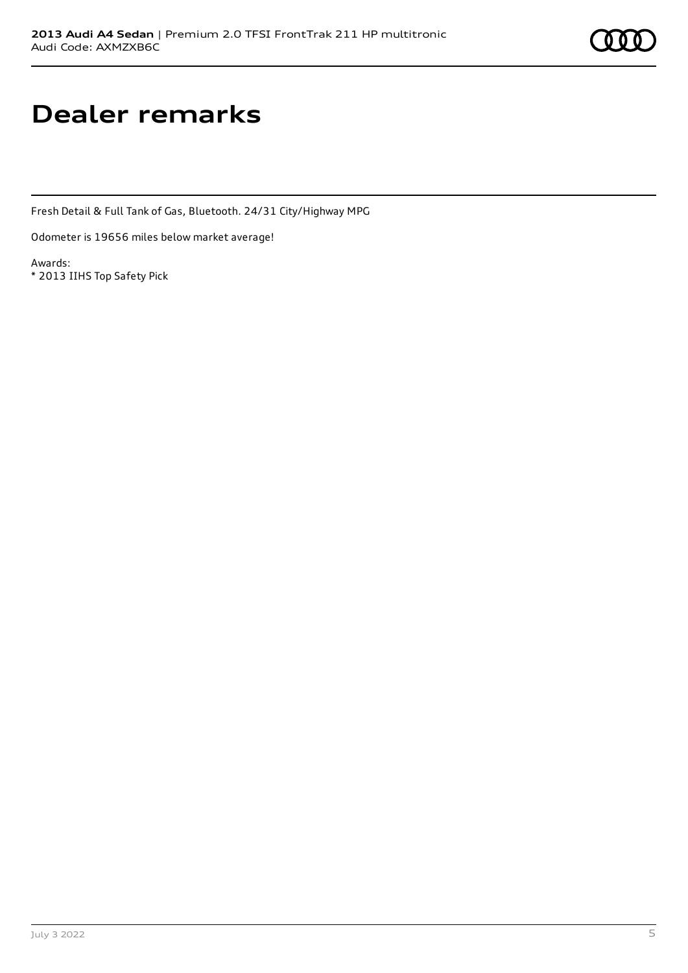# **Dealer remarks**

Fresh Detail & Full Tank of Gas, Bluetooth. 24/31 City/Highway MPG

Odometer is 19656 miles below market average!

Awards: \* 2013 IIHS Top Safety Pick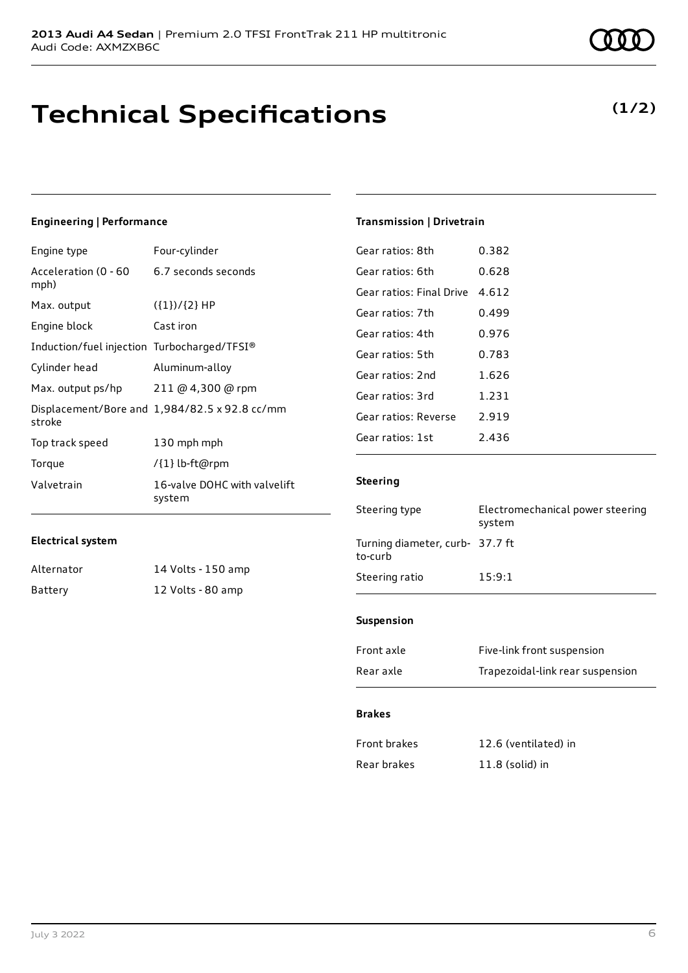## **Technical Specifications**

#### **Engineering | Performance**

| Engine type                                 | Four-cylinder                                 |
|---------------------------------------------|-----------------------------------------------|
| Acceleration (0 - 60<br>mph)                | 6.7 seconds seconds                           |
| Max. output                                 | $({1})/{2}$ HP                                |
| Engine block                                | Cast iron                                     |
| Induction/fuel injection Turbocharged/TFSI® |                                               |
| Cylinder head                               | Aluminum-alloy                                |
| Max. output ps/hp                           | 211 @ 4,300 @ rpm                             |
| stroke                                      | Displacement/Bore and 1,984/82.5 x 92.8 cc/mm |
| Top track speed                             | 130 mph mph                                   |
| Torque                                      | /{1} lb-ft@rpm                                |
| Valvetrain                                  | 16-valve DOHC with valvelift<br>system        |

#### **Electrical system**

| Alternator | 14 Volts - 150 amp |
|------------|--------------------|
| Battery    | 12 Volts - 80 amp  |

# **(1/2)**

#### **Transmission | Drivetrain**

| Gear ratios: 8th         | 0.382 |
|--------------------------|-------|
| Gear ratios: 6th         | 0.628 |
| Gear ratios: Final Drive | 4.612 |
| Gear ratios: 7th         | 0.499 |
| Gear ratios: 4th         | 0.976 |
| Gear ratios: 5th         | 0.783 |
| Gear ratios: 2nd         | 1.626 |
| Gear ratios: 3rd         | 1.231 |
| Gear ratios: Reverse     | 2.919 |
| Gear ratios: 1st         | 2.436 |

#### **Steering**

| Steering type                              | Electromechanical power steering<br>system |
|--------------------------------------------|--------------------------------------------|
| Turning diameter, curb- 37.7 ft<br>to-curb |                                            |
| Steering ratio                             | 15:9:1                                     |
|                                            |                                            |

#### **Suspension**

| Front axle | Five-link front suspension       |
|------------|----------------------------------|
| Rear axle  | Trapezoidal-link rear suspension |

#### **Brakes**

| <b>Front brakes</b> | 12.6 (ventilated) in |
|---------------------|----------------------|
| Rear brakes         | $11.8$ (solid) in    |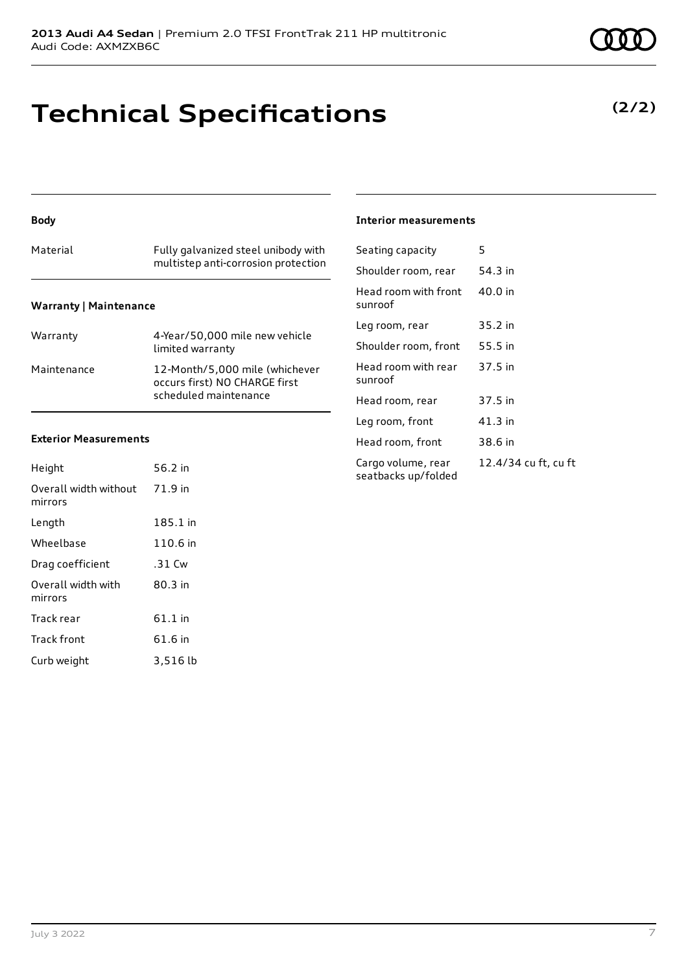# **Technical Specifications**

#### **Body**

### Material Fully galvanized steel unibody with multistep anti-corrosion protection

#### **Warranty | Maintenance**

| Warranty    | 4-Year/50,000 mile new vehicle<br>limited warranty                                       |
|-------------|------------------------------------------------------------------------------------------|
| Maintenance | 12-Month/5,000 mile (whichever<br>occurs first) NO CHARGE first<br>scheduled maintenance |

#### **Exterior Measurements**

| Height                           | 56.2 in   |
|----------------------------------|-----------|
| Overall width without<br>mirrors | 71.9 in   |
| Length                           | 185.1 in  |
| Wheelbase                        | 110.6 in  |
| Drag coefficient                 | .31 Cw    |
| Overall width with<br>mirrors    | 80.3 in   |
| Track rear                       | $61.1$ in |
| <b>Track front</b>               | 61.6 in   |
| Curb weight                      | 3,516 lb  |

#### **Interior measurements**

| Seating capacity                          | 5                    |
|-------------------------------------------|----------------------|
| Shoulder room, rear                       | 54.3 in              |
| Head room with front<br>sunroof           | 40.0 in              |
| Leg room, rear                            | 35.2 in              |
| Shoulder room, front                      | 55.5 in              |
| Head room with rear<br>sunroof            | 37.5 in              |
| Head room, rear                           | 37.5 in              |
| Leg room, front                           | 41.3 in              |
| Head room, front                          | 38.6 in              |
| Cargo volume, rear<br>seatbacks up/folded | 12.4/34 cu ft, cu ft |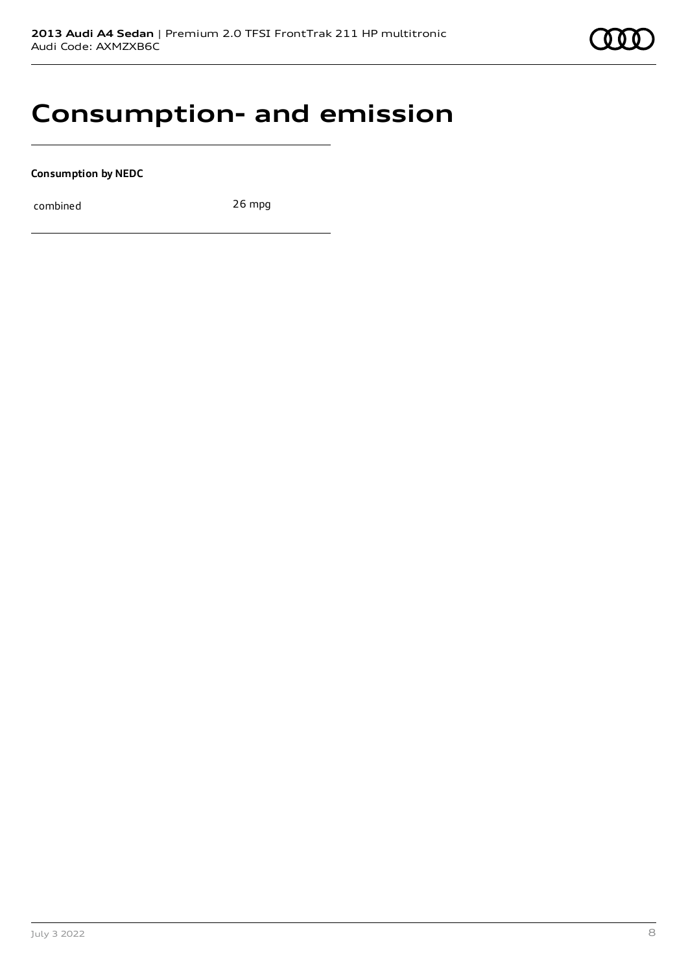### **Consumption- and emission**

#### **Consumption by NEDC**

combined 26 mpg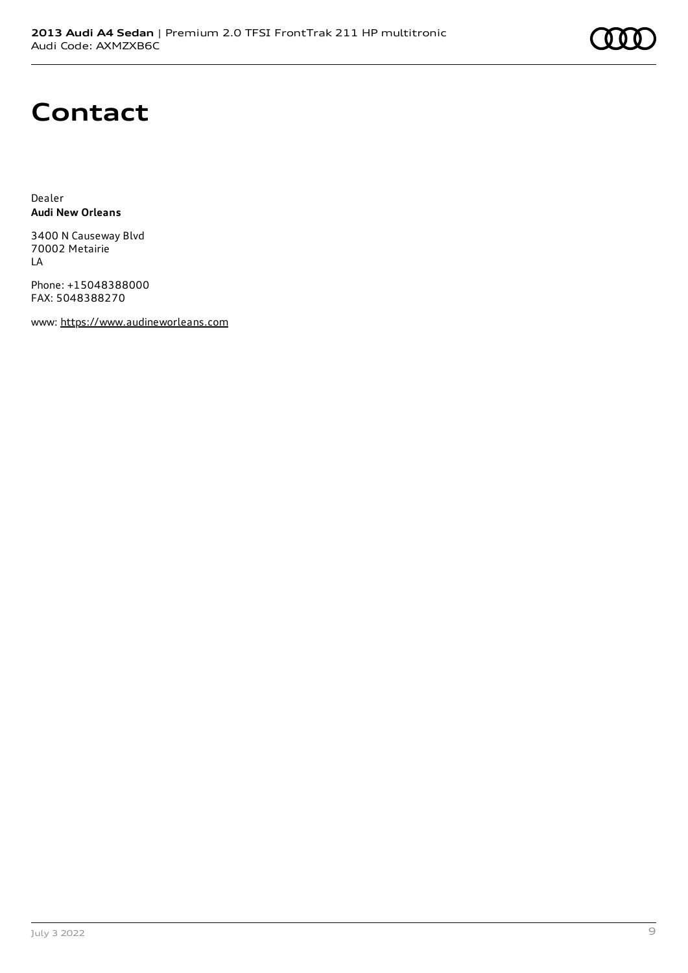### **Contact**

Dealer **Audi New Orleans**

3400 N Causeway Blvd 70002 Metairie LA

Phone: +15048388000 FAX: 5048388270

www: [https://www.audineworleans.com](https://www.audineworleans.com/)